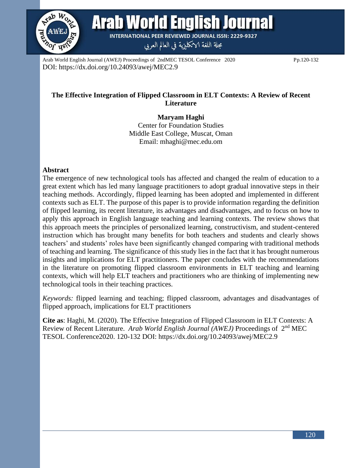

**Arab World English Journal** 

**INTERNATIONAL PEER REVIEWED JOURNAL ISSN: 2229-9327** 

مجلة اللغة الانكليزية في العالم العربي

Arab World English Journal (AWEJ) Proceedings of 2ndMEC TESOL Conference 2020 Pp.120-132 DOI: https://dx.doi.org/10.24093/awej/MEC2.9

# **The Effective Integration of Flipped Classroom in ELT Contexts: A Review of Recent Literature**

**Maryam Haghi** Center for Foundation Studies Middle East College, Muscat, Oman Email: mhaghi@mec.edu.om

## **Abstract**

The emergence of new technological tools has affected and changed the realm of education to a great extent which has led many language practitioners to adopt gradual innovative steps in their teaching methods. Accordingly, flipped learning has been adopted and implemented in different contexts such as ELT. The purpose of this paper is to provide information regarding the definition of flipped learning, its recent literature, its advantages and disadvantages, and to focus on how to apply this approach in English language teaching and learning contexts. The review shows that this approach meets the principles of personalized learning, constructivism, and student-centered instruction which has brought many benefits for both teachers and students and clearly shows teachers' and students' roles have been significantly changed comparing with traditional methods of teaching and learning. The significance of this study lies in the fact that it has brought numerous insights and implications for ELT practitioners. The paper concludes with the recommendations in the literature on promoting flipped classroom environments in ELT teaching and learning contexts, which will help ELT teachers and practitioners who are thinking of implementing new technological tools in their teaching practices.

*Keywords:* flipped learning and teaching; flipped classroom, advantages and disadvantages of flipped approach, implications for ELT practitioners

**Cite as**: Haghi, M. (2020). The Effective Integration of Flipped Classroom in ELT Contexts: A Review of Recent Literature. *Arab World English Journal (AWEJ)* Proceedings of 2nd MEC TESOL Conference2020. 120-132 DOI: https://dx.doi.org/10.24093/awej/MEC2.9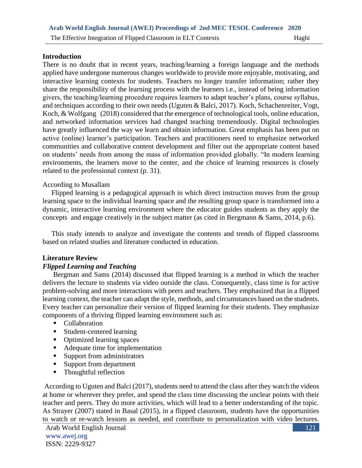### **Introduction**

There is no doubt that in recent years, teaching/learning a foreign language and the methods applied have undergone numerous changes worldwide to provide more enjoyable, motivating, and interactive learning contexts for students. Teachers no longer transfer information; rather they share the responsibility of the learning process with the learners i.e., instead of being information givers, the teaching/learning procedure requires learners to adapt teacher's plans, course syllabus, and techniques according to their own needs (Uguten & Balci, 2017). Koch, Schachenreiter, Vogt, Koch, & Wolfgang (2018) considered that the emergence of technological tools, online education, and networked information services had changed teaching tremendously. Digital technologies have greatly influenced the way we learn and obtain information. Great emphasis has been put on active (online) learner's participation. Teachers and practitioners need to emphasize networked communities and collaborative content development and filter out the appropriate content based on students' needs from among the mass of information provided globally. "In modern learning environments, the learners move to the center, and the choice of learning resources is closely related to the professional context (p. 31).

### According to Musallam

 Flipped learning is a pedagogical approach in which direct instruction moves from the group learning space to the individual learning space and the resulting group space is transformed into a dynamic, interactive learning environment where the educator guides students as they apply the concepts and engage creatively in the subject matter (as cited in Bergmann & Sams, 2014, p.6).

 This study intends to analyze and investigate the contents and trends of flipped classrooms based on related studies and literature conducted in education.

### **Literature Review**

## *Flipped Learning and Teaching*

 Bergman and Sams (2014) discussed that flipped learning is a method in which the teacher delivers the lecture to students via video outside the class. Consequently, class time is for active problem-solving and more interactions with peers and teachers. They emphasized that in a flipped learning context, the teacher can adapt the style, methods, and circumstances based on the students. Every teacher can personalize their version of flipped learning for their students. They emphasize components of a thriving flipped learning environment such as:

- Collaboration
- Student-centered learning
- Optimized learning spaces
- Adequate time for implementation
- Support from administrators
- Support from department
- Thoughtful reflection

According to Uguten and Balci (2017), students need to attend the class after they watch the videos at home or wherever they prefer, and spend the class time discussing the unclear points with their teacher and peers. They do more activities, which will lead to a better understanding of the topic. As Strayer (2007) stated in Basal (2015), in a flipped classroom, students have the opportunities to watch or re-watch lessons as needed, and contribute to personalization with video lectures.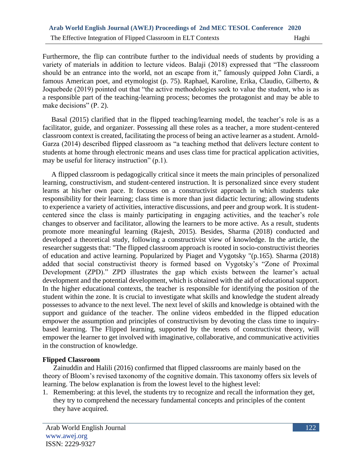Furthermore, the flip can contribute further to the individual needs of students by providing a variety of materials in addition to lecture videos. Balaji (2018) expressed that "The classroom should be an entrance into the world, not an escape from it," famously quipped John Ciardi, a famous American poet, and etymologist (p. 75). Raphael, Karoline, Erika, Claudio, Gilberto, & Joquebede (2019) pointed out that "the active methodologies seek to value the student, who is as a responsible part of the teaching-learning process; becomes the protagonist and may be able to make decisions" (P. 2).

 Basal (2015) clarified that in the flipped teaching/learning model, the teacher's role is as a facilitator, guide, and organizer. Possessing all these roles as a teacher, a more student-centered classroom context is created, facilitating the process of being an active learner as a student. Arnold-Garza (2014) described flipped classroom as "a teaching method that delivers lecture content to students at home through electronic means and uses class time for practical application activities, may be useful for literacy instruction" (p.1).

 A flipped classroom is pedagogically critical since it meets the main principles of personalized learning, constructivism, and student-centered instruction. It is personalized since every student learns at his/her own pace. It focuses on a constructivist approach in which students take responsibility for their learning; class time is more than just didactic lecturing; allowing students to experience a variety of activities, interactive discussions, and peer and group work. It is studentcentered since the class is mainly participating in engaging activities, and the teacher's role changes to observer and facilitator, allowing the learners to be more active. As a result, students promote more meaningful learning (Rajesh, 2015). Besides, Sharma (2018) conducted and developed a theoretical study, following a constructivist view of knowledge. In the article, the researcher suggests that: "The flipped classroom approach is rooted in socio-constructivist theories of education and active learning. Popularized by Piaget and Vygotsky "(p.165). Sharma (2018) added that social constructivist theory is formed based on Vygotsky's "Zone of Proximal Development (ZPD)." ZPD illustrates the gap which exists between the learner's actual development and the potential development, which is obtained with the aid of educational support. In the higher educational contexts, the teacher is responsible for identifying the position of the student within the zone. It is crucial to investigate what skills and knowledge the student already possesses to advance to the next level. The next level of skills and knowledge is obtained with the support and guidance of the teacher. The online videos embedded in the flipped education empower the assumption and principles of constructivism by devoting the class time to inquirybased learning. The Flipped learning, supported by the tenets of constructivist theory, will empower the learner to get involved with imaginative, collaborative, and communicative activities in the construction of knowledge.

## **Flipped Classroom**

 Zainuddin and Halili (2016) confirmed that flipped classrooms are mainly based on the theory of Bloom's revised taxonomy of the cognitive domain. This taxonomy offers six levels of learning. The below explanation is from the lowest level to the highest level:

1. Remembering: at this level, the students try to recognize and recall the information they get, they try to comprehend the necessary fundamental concepts and principles of the content they have acquired.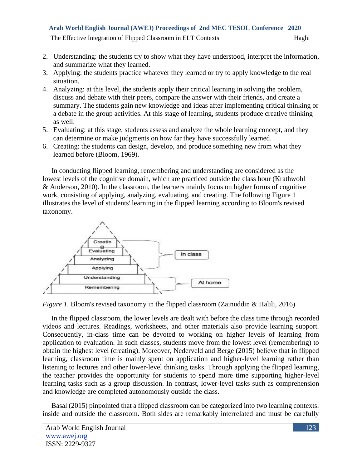- 2. Understanding: the students try to show what they have understood, interpret the information, and summarize what they learned.
- 3. Applying: the students practice whatever they learned or try to apply knowledge to the real situation.
- 4. Analyzing: at this level, the students apply their critical learning in solving the problem, discuss and debate with their peers, compare the answer with their friends, and create a summary. The students gain new knowledge and ideas after implementing critical thinking or a debate in the group activities. At this stage of learning, students produce creative thinking as well.
- 5. Evaluating: at this stage, students assess and analyze the whole learning concept, and they can determine or make judgments on how far they have successfully learned.
- 6. Creating: the students can design, develop, and produce something new from what they learned before (Bloom, 1969).

 In conducting flipped learning, remembering and understanding are considered as the lowest levels of the cognitive domain, which are practiced outside the class hour (Krathwohl & Anderson, 2010). In the classroom, the learners mainly focus on higher forms of cognitive work, consisting of applying, analyzing, evaluating, and creating. The following Figure 1 illustrates the level of students' learning in the flipped learning according to Bloom's revised taxonomy.



*Figure 1.* Bloom's revised taxonomy in the flipped classroom (Zainuddin & Halili, 2016)

 In the flipped classroom, the lower levels are dealt with before the class time through recorded videos and lectures. Readings, worksheets, and other materials also provide learning support. Consequently, in-class time can be devoted to working on higher levels of learning from application to evaluation. In such classes, students move from the lowest level (remembering) to obtain the highest level (creating). Moreover, Nederveld and Berge (2015) believe that in flipped learning, classroom time is mainly spent on application and higher-level learning rather than listening to lectures and other lower-level thinking tasks. Through applying the flipped learning, the teacher provides the opportunity for students to spend more time supporting higher-level learning tasks such as a group discussion. In contrast, lower-level tasks such as comprehension and knowledge are completed autonomously outside the class.

 Basal (2015) pinpointed that a flipped classroom can be categorized into two learning contexts: inside and outside the classroom. Both sides are remarkably interrelated and must be carefully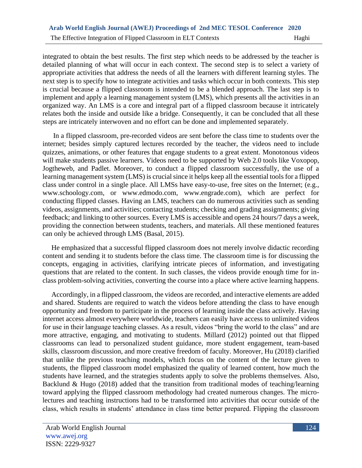integrated to obtain the best results. The first step which needs to be addressed by the teacher is detailed planning of what will occur in each context. The second step is to select a variety of appropriate activities that address the needs of all the learners with different learning styles. The next step is to specify how to integrate activities and tasks which occur in both contexts. This step is crucial because a flipped classroom is intended to be a blended approach. The last step is to implement and apply a learning management system (LMS), which presents all the activities in an organized way. An LMS is a core and integral part of a flipped classroom because it intricately relates both the inside and outside like a bridge. Consequently, it can be concluded that all these steps are intricately interwoven and no effort can be done and implemented separately.

 In a flipped classroom, pre-recorded videos are sent before the class time to students over the internet; besides simply captured lectures recorded by the teacher, the videos need to include quizzes, animations, or other features that engage students to a great extent. Monotonous videos will make students passive learners. Videos need to be supported by Web 2.0 tools like Voxopop, Jogtheweb, and Padlet. Moreover, to conduct a flipped classroom successfully, the use of a learning management system (LMS) is crucial since it helps keep all the essential tools for a flipped class under control in a single place. All LMSs have easy-to-use, free sites on the Internet; (e.g., [www.schoology.com,](http://www.schoology.com/) or [www.edmodo.com,](http://www.edmodo.com/) [www.engrade.com\)](http://www.engrade.com/), which are perfect for conducting flipped classes. Having an LMS, teachers can do numerous activities such as sending videos, assignments, and activities; contacting students; checking and grading assignments; giving feedback; and linking to other sources. Every LMS is accessible and opens 24 hours/7 days a week, providing the connection between students, teachers, and materials. All these mentioned features can only be achieved through LMS (Basal, 2015).

 He emphasized that a successful flipped classroom does not merely involve didactic recording content and sending it to students before the class time. The classroom time is for discussing the concepts, engaging in activities, clarifying intricate pieces of information, and investigating questions that are related to the content. In such classes, the videos provide enough time for inclass problem-solving activities, converting the course into a place where active learning happens.

 Accordingly, in a flipped classroom, the videos are recorded, and interactive elements are added and shared. Students are required to watch the videos before attending the class to have enough opportunity and freedom to participate in the process of learning inside the class actively. Having internet access almost everywhere worldwide, teachers can easily have access to unlimited videos for use in their language teaching classes. As a result, videos "bring the world to the class" and are more attractive, engaging, and motivating to students. Millard (2012) pointed out that flipped classrooms can lead to personalized student guidance, more student engagement, team-based skills, classroom discussion, and more creative freedom of faculty. Moreover, Hu (2018) clarified that unlike the previous teaching models, which focus on the content of the lecture given to students, the flipped classroom model emphasized the quality of learned content, how much the students have learned, and the strategies students apply to solve the problems themselves. Also, Backlund & Hugo (2018) added that the transition from traditional modes of teaching/learning toward applying the flipped classroom methodology had created numerous changes. The microlectures and teaching instructions had to be transformed into activities that occur outside of the class, which results in students' attendance in class time better prepared. Flipping the classroom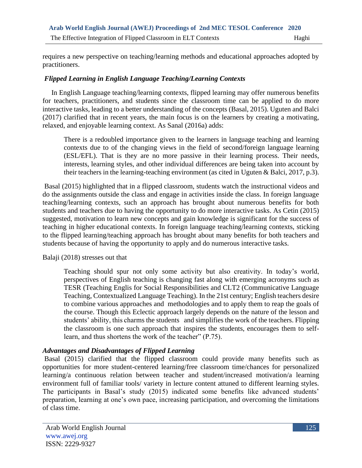requires a new perspective on teaching/learning methods and educational approaches adopted by practitioners.

# *Flipped Learning in English Language Teaching/Learning Contexts*

In English Language teaching/learning contexts, flipped learning may offer numerous benefits for teachers, practitioners, and students since the classroom time can be applied to do more interactive tasks, leading to a better understanding of the concepts (Basal, 2015). Uguten and Balci (2017) clarified that in recent years, the main focus is on the learners by creating a motivating, relaxed, and enjoyable learning context. As Sanal (2016a) adds:

There is a redoubled importance given to the learners in language teaching and learning contexts due to of the changing views in the field of second/foreign language learning (ESL/EFL). That is they are no more passive in their learning process. Their needs, interests, learning styles, and other individual differences are being taken into account by their teachers in the learning-teaching environment (as cited in Uguten & Balci, 2017, p.3).

Basal (2015) highlighted that in a flipped classroom, students watch the instructional videos and do the assignments outside the class and engage in activities inside the class. In foreign language teaching/learning contexts, such an approach has brought about numerous benefits for both students and teachers due to having the opportunity to do more interactive tasks. As Cetin (2015) suggested, motivation to learn new concepts and gain knowledge is significant for the success of teaching in higher educational contexts. In foreign language teaching/learning contexts, sticking to the flipped learning/teaching approach has brought about many benefits for both teachers and students because of having the opportunity to apply and do numerous interactive tasks.

Balaji (2018) stresses out that

Teaching should spur not only some activity but also creativity. In today's world, perspectives of English teaching is changing fast along with emerging acronyms such as TESR (Teaching Englis for Social Responsibilities and CLT2 (Communicative Language Teaching, Contextualized Language Teaching). In the 21st century; English teachers desire to combine various approaches and methodologies and to apply them to reap the goals of the course. Though this Eclectic approach largely depends on the nature of the lesson and students' ability, this charms the students and simplifies the work of the teachers. Flipping the classroom is one such approach that inspires the students, encourages them to selflearn, and thus shortens the work of the teacher" (P.75).

## *Advantages and Disadvantages of Flipped Learning*

Basal (2015) clarified that the flipped classroom could provide many benefits such as opportunities for more student-centered learning/free classroom time/chances for personalized learning/a continuous relation between teacher and student/increased motivation/a learning environment full of familiar tools/ variety in lecture content attuned to different learning styles. The participants in Basal's study (2015) indicated some benefits like advanced students' preparation, learning at one's own pace, increasing participation, and overcoming the limitations of class time.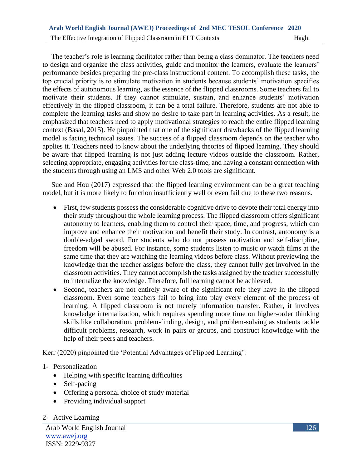The teacher's role is learning facilitator rather than being a class dominator. The teachers need to design and organize the class activities, guide and monitor the learners, evaluate the learners' performance besides preparing the pre-class instructional content. To accomplish these tasks, the top crucial priority is to stimulate motivation in students because students' motivation specifies the effects of autonomous learning, as the essence of the flipped classrooms. Some teachers fail to motivate their students. If they cannot stimulate, sustain, and enhance students' motivation effectively in the flipped classroom, it can be a total failure. Therefore, students are not able to complete the learning tasks and show no desire to take part in learning activities. As a result, he emphasized that teachers need to apply motivational strategies to reach the entire flipped learning context (Basal, 2015). He pinpointed that one of the significant drawbacks of the flipped learning model is facing technical issues. The success of a flipped classroom depends on the teacher who applies it. Teachers need to know about the underlying theories of flipped learning. They should be aware that flipped learning is not just adding lecture videos outside the classroom. Rather, selecting appropriate, engaging activities for the class-time, and having a constant connection with the students through using an LMS and other Web 2.0 tools are significant.

 Sue and Hou (2017) expressed that the flipped learning environment can be a great teaching model, but it is more likely to function insufficiently well or even fail due to these two reasons.

- First, few students possess the considerable cognitive drive to devote their total energy into their study throughout the whole learning process. The flipped classroom offers significant autonomy to learners, enabling them to control their space, time, and progress, which can improve and enhance their motivation and benefit their study. In contrast, autonomy is a double-edged sword. For students who do not possess motivation and self-discipline, freedom will be abused. For instance, some students listen to music or watch films at the same time that they are watching the learning videos before class. Without previewing the knowledge that the teacher assigns before the class, they cannot fully get involved in the classroom activities. They cannot accomplish the tasks assigned by the teacher successfully to internalize the knowledge. Therefore, full learning cannot be achieved.
- Second, teachers are not entirely aware of the significant role they have in the flipped classroom. Even some teachers fail to bring into play every element of the process of learning. A flipped classroom is not merely information transfer. Rather, it involves knowledge internalization, which requires spending more time on higher-order thinking skills like collaboration, problem-finding, design, and problem-solving as students tackle difficult problems, research, work in pairs or groups, and construct knowledge with the help of their peers and teachers.

Kerr (2020) pinpointed the 'Potential Advantages of Flipped Learning':

## 1- Personalization

- Helping with specific learning difficulties
- Self-pacing
- Offering a personal choice of study material
- Providing individual support

## 2- Active Learning

Arab World English Journal www.awej.org ISSN: 2229-9327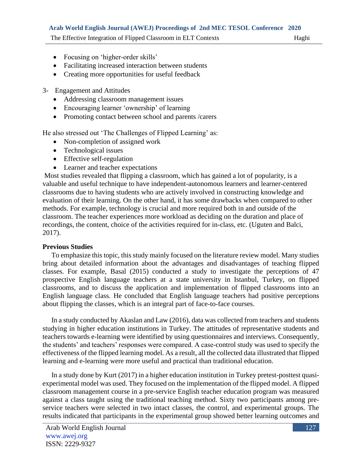The Effective Integration of Flipped Classroom in ELT Contexts Haghi

- Focusing on 'higher-order skills'
- Facilitating increased interaction between students
- Creating more opportunities for useful feedback
- 3- Engagement and Attitudes
	- Addressing classroom management issues
	- Encouraging learner 'ownership' of learning
	- Promoting contact between school and parents / carers

He also stressed out 'The Challenges of Flipped Learning' as:

- Non-completion of assigned work
- Technological issues
- Effective self-regulation
- Learner and teacher expectations

Most studies revealed that flipping a classroom, which has gained a lot of popularity, is a valuable and useful technique to have independent-autonomous learners and learner-centered classrooms due to having students who are actively involved in constructing knowledge and evaluation of their learning. On the other hand, it has some drawbacks when compared to other methods. For example, technology is crucial and more required both in and outside of the classroom. The teacher experiences more workload as deciding on the duration and place of recordings, the content, choice of the activities required for in-class, etc. (Uguten and Balci, 2017).

### **Previous Studies**

 To emphasize this topic, this study mainly focused on the literature review model. Many studies bring about detailed information about the advantages and disadvantages of teaching flipped classes. For example, Basal (2015) conducted a study to investigate the perceptions of 47 prospective English language teachers at a state university in Istanbul, Turkey, on flipped classrooms, and to discuss the application and implementation of flipped classrooms into an English language class. He concluded that English language teachers had positive perceptions about flipping the classes, which is an integral part of face-to-face courses.

 In a study conducted by Akaslan and Law (2016), data was collected from teachers and students studying in higher education institutions in Turkey. The attitudes of representative students and teachers towards e-learning were identified by using questionnaires and interviews. Consequently, the students' and teachers' responses were compared. A case-control study was used to specify the effectiveness of the flipped learning model. As a result, all the collected data illustrated that flipped learning and e-learning were more useful and practical than traditional education.

 In a study done by Kurt (2017) in a higher education institution in Turkey pretest-posttest quasiexperimental model was used. They focused on the implementation of the flipped model. A flipped classroom management course in a pre-service English teacher education program was measured against a class taught using the traditional teaching method. Sixty two participants among preservice teachers were selected in two intact classes, the control, and experimental groups. The results indicated that participants in the experimental group showed better learning outcomes and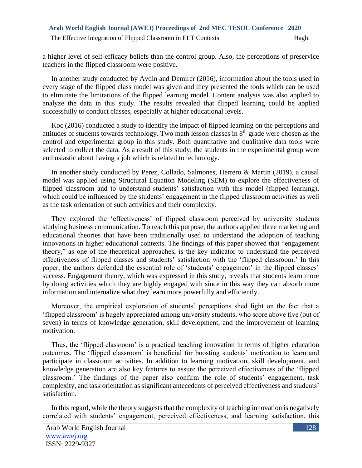a higher level of self-efficacy beliefs than the control group. Also, the perceptions of preservice teachers in the flipped classroom were positive.

 In another study conducted by Aydin and Demirer (2016), information about the tools used in every stage of the flipped class model was given and they presented the tools which can be used to eliminate the limitations of the flipped learning model. Content analysis was also applied to analyze the data in this study. The results revealed that flipped learning could be applied successfully to conduct classes, especially at higher educational levels.

 Koc (2016) conducted a study to identify the impact of flipped learning on the perceptions and attitudes of students towards technology. Two math lesson classes in 8th grade were chosen as the control and experimental group in this study. Both quantitative and qualitative data tools were selected to collect the data. As a result of this study, the students in the experimental group were enthusiastic about having a job which is related to technology.

 In another study conducted by Perez, Collado, Salmones, Herrero & Martin (2019), a causal model was applied using Structural Equation Modeling (SEM) to explore the effectiveness of flipped classroom and to understand students' satisfaction with this model (flipped learning), which could be influenced by the students' engagement in the flipped classroom activities as well as the task orientation of such activities and their complexity.

 They explored the 'effectiveness' of flipped classroom perceived by university students studying business communication. To reach this purpose, the authors applied three marketing and educational theories that have been traditionally used to understand the adoption of teaching innovations in higher educational contexts. The findings of this paper showed that "engagement theory," as one of the theoretical approaches, is the key indicator to understand the perceived effectiveness of flipped classes and students' satisfaction with the 'flipped classroom.' In this paper, the authors defended the essential role of 'students' engagement' in the flipped classes' success. Engagement theory, which was expressed in this study, reveals that students learn more by doing activities which they are highly engaged with since in this way they can absorb more information and internalize what they learn more powerfully and efficiently.

 Moreover, the empirical exploration of students' perceptions shed light on the fact that a 'flipped classroom' is hugely appreciated among university students, who score above five (out of seven) in terms of knowledge generation, skill development, and the improvement of learning motivation.

 Thus, the 'flipped classroom' is a practical teaching innovation in terms of higher education outcomes. The 'flipped classroom' is beneficial for boosting students' motivation to learn and participate in classroom activities. In addition to learning motivation, skill development, and knowledge generation are also key features to assure the perceived effectiveness of the 'flipped classroom.' The findings of the paper also confirm the role of students' engagement, task complexity, and task orientation as significant antecedents of perceived effectiveness and students' satisfaction.

 In this regard, while the theory suggests that the complexity of teaching innovation is negatively correlated with students' engagement, perceived effectiveness, and learning satisfaction, this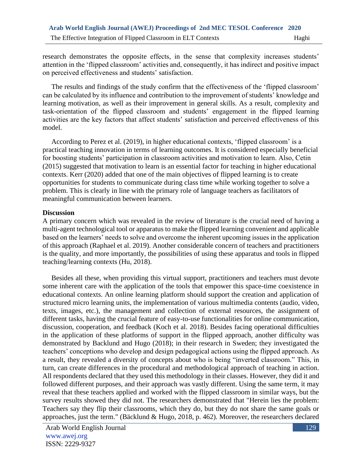research demonstrates the opposite effects, in the sense that complexity increases students' attention in the 'flipped classroom' activities and, consequently, it has indirect and positive impact on perceived effectiveness and students' satisfaction.

 The results and findings of the study confirm that the effectiveness of the 'flipped classroom' can be calculated by its influence and contribution to the improvement of students' knowledge and learning motivation, as well as their improvement in general skills. As a result, complexity and task-orientation of the flipped classroom and students' engagement in the flipped learning activities are the key factors that affect students' satisfaction and perceived effectiveness of this model.

 According to Perez et al. (2019), in higher educational contexts, 'flipped classroom' is a practical teaching innovation in terms of learning outcomes. It is considered especially beneficial for boosting students' participation in classroom activities and motivation to learn. Also, Cetin (2015) suggested that motivation to learn is an essential factor for teaching in higher educational contexts. Kerr (2020) added that one of the main objectives of flipped learning is to create opportunities for students to communicate during class time while working together to solve a problem. This is clearly in line with the primary role of language teachers as facilitators of meaningful communication between learners.

## **Discussion**

A primary concern which was revealed in the review of literature is the crucial need of having a multi-agent technological tool or apparatus to make the flipped learning convenient and applicable based on the learners' needs to solve and overcome the inherent upcoming issues in the application of this approach (Raphael et al. 2019). Another considerable concern of teachers and practitioners is the quality, and more importantly, the possibilities of using these apparatus and tools in flipped teaching/learning contexts (Hu, 2018).

 Besides all these, when providing this virtual support, practitioners and teachers must devote some inherent care with the application of the tools that empower this space-time coexistence in educational contexts. An online learning platform should support the creation and application of structured micro learning units, the implementation of various multimedia contents (audio, video, texts, images, etc.), the management and collection of external resources, the assignment of different tasks, having the crucial feature of easy-to-use functionalities for online communication, discussion, cooperation, and feedback (Koch et al. 2018). Besides facing operational difficulties in the application of these platforms of support in the flipped approach, another difficulty was demonstrated by Backlund and Hugo (2018); in their research in Sweden; they investigated the teachers' conceptions who develop and design pedagogical actions using the flipped approach. As a result, they revealed a diversity of concepts about who is being "inverted classroom." This, in turn, can create differences in the procedural and methodological approach of teaching in action. All respondents declared that they used this methodology in their classes. However, they did it and followed different purposes, and their approach was vastly different. Using the same term, it may reveal that these teachers applied and worked with the flipped classroom in similar ways, but the survey results showed they did not. The researchers demonstrated that "Herein lies the problem: Teachers say they flip their classrooms, which they do, but they do not share the same goals or approaches, just the term." (Bäcklund & Hugo, 2018, p. 462). Moreover, the researchers declared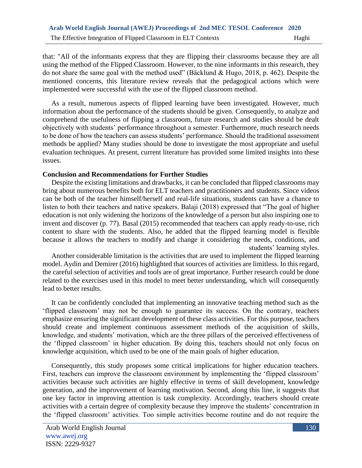that: "All of the informants express that they are flipping their classrooms because they are all using the method of the Flipped Classroom. However, to the nine informants in this research, they do not share the same goal with the method used" (Bäcklund & Hugo, 2018, p. 462). Despite the mentioned concerns, this literature review reveals that the pedagogical actions which were implemented were successful with the use of the flipped classroom method.

 As a result, numerous aspects of flipped learning have been investigated. However, much information about the performance of the students should be given. Consequently, to analyze and comprehend the usefulness of flipping a classroom, future research and studies should be dealt objectively with students' performance throughout a semester. Furthermore, much research needs to be done of how the teachers can assess students' performance. Should the traditional assessment methods be applied? Many studies should be done to investigate the most appropriate and useful evaluation techniques. At present, current literature has provided some limited insights into these issues.

## **Conclusion and Recommendations for Further Studies**

 Despite the existing limitations and drawbacks, it can be concluded that flipped classrooms may bring about numerous benefits both for ELT teachers and practitioners and students. Since videos can be both of the teacher himself/herself and real-life situations, students can have a chance to listen to both their teachers and native speakers. Balaji (2018) expressed that "The goal of higher education is not only widening the horizons of the knowledge of a person but also inspiring one to invent and discover (p. 77). Basal (2015) recommended that teachers can apply ready-to-use, rich content to share with the students. Also, he added that the flipped learning model is flexible because it allows the teachers to modify and change it considering the needs, conditions, and students' learning styles.

 Another considerable limitation is the activities that are used to implement the flipped learning model. Aydin and Demirer (2016) highlighted that sources of activities are limitless. In this regard, the careful selection of activities and tools are of great importance. Further research could be done related to the exercises used in this model to meet better understanding, which will consequently lead to better results.

 It can be confidently concluded that implementing an innovative teaching method such as the 'flipped classroom' may not be enough to guarantee its success. On the contrary, teachers emphasize ensuring the significant development of these class activities. For this purpose, teachers should create and implement continuous assessment methods of the acquisition of skills, knowledge, and students' motivation, which are the three pillars of the perceived effectiveness of the 'flipped classroom' in higher education. By doing this, teachers should not only focus on knowledge acquisition, which used to be one of the main goals of higher education.

 Consequently, this study proposes some critical implications for higher education teachers. First, teachers can improve the classroom environment by implementing the 'flipped classroom' activities because such activities are highly effective in terms of skill development, knowledge generation, and the improvement of learning motivation. Second, along this line, it suggests that one key factor in improving attention is task complexity. Accordingly, teachers should create activities with a certain degree of complexity because they improve the students' concentration in the 'flipped classroom' activities. Too simple activities become routine and do not require the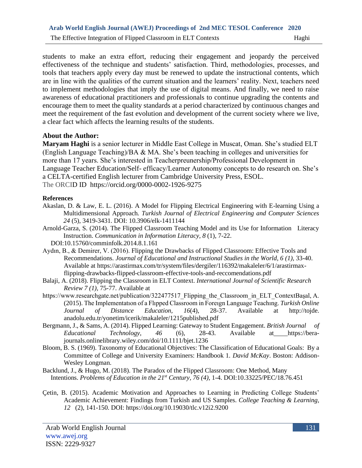students to make an extra effort, reducing their engagement and jeopardy the perceived effectiveness of the technique and students' satisfaction. Third, methodologies, processes, and tools that teachers apply every day must be renewed to update the instructional contents, which are in line with the qualities of the current situation and the learners' reality. Next, teachers need to implement methodologies that imply the use of digital means. And finally, we need to raise awareness of educational practitioners and professionals to continue upgrading the contents and encourage them to meet the quality standards at a period characterized by continuous changes and meet the requirement of the fast evolution and development of the current society where we live, a clear fact which affects the learning results of the students.

## **About the Author:**

**Maryam Haghi** is a senior lecturer in Middle East College in Muscat, Oman. She's studied ELT (English Language Teaching)/BA & MA. She's been teaching in colleges and universities for more than 17 years. She's interested in Teacherpreunership/Professional Development in Language Teacher Education/Self- efficacy/Learner Autonomy concepts to do research on. She's a CELTA-certified English lecturer from Cambridge University Press, ESOL. The ORCID ID <https://orcid.org/0000-0002-1926-9275>

### **References**

- Akaslan, D. & Law, E. L. (2016). A Model for Flipping Electrical Engineering with E-learning Using a Multidimensional Approach*. Turkish Journal of Electrical Engineering and Computer Sciences 24* (5), 3419-3431. DOI: [10.3906/elk-1411144](https://www.researchgate.net/deref/http%3A%2F%2Fdx.doi.org%2F10.3906%2Felk-1411-144?_sg%5B0%5D=Rgn3slC5anbFdmfs-3XxG76p8d0MUtYLOQnzbknF3aTZkOZDBeM5Az8xu_sb_K62MMIqEb2diUso44AQZbYJo-wfUQ.5ZwKmNhoDXQndSsfWiSah61cg7RbpkUkiJPuEH2OlyU3Bo1a-HQXcYLUHdarH_tHrvmKCX8OIE0uSJzoslCnXQ)
- Arnold-Garza, S. (2014). The Flipped Classroom Teaching Model and its Use for Information Literacy Instruction. *Communication in Information Literacy, 8* (1), 7-22.

DOI:10.15760/comminfolk.2014.8.1.161

- Aydın, B., & Demirer, V. (2016). Flipping the Drawbacks of Flipped Classroom: Effective Tools and Recommendations. *Journal of Educational and Instructional Studies in the World, 6 (1), 33-40.* Available at [https://arastirmax.com/tr/system/files/dergiler/116392/makaleler/6/1/arastirmax](https://arastirmax.com/tr/system/files/dergiler/116392/makaleler/6/1/arastirmax-%20%20%20%20%20%20%20flipping-drawbacks-)[flipping-drawbacks-f](https://arastirmax.com/tr/system/files/dergiler/116392/makaleler/6/1/arastirmax-%20%20%20%20%20%20%20flipping-drawbacks-)lipped-classroom-effective-tools-and-reccomendations.pdf
- Balaji, A. (2018). Flipping the Classroom in ELT Context. *International Journal of Scientific Research Review 7 (1),* 75-77. Available at
- https://www.researchgate.net/publication/322477517\_Flipping\_the\_Classroom\_in\_ELT\_ContextBaşal, A. (2015). The Implementatıon of a Flıpped Classroom in Foreıgn Language Teachıng. *Turkish Online Journal of Distance Education, 16*(4), 28-37. Available at [http://tojde.](http://tojde/) anadolu.edu.tr/yonetim/icerik/makaleler/1215published.pdf
- Bergmann, J., & Sams, A. (2014). Flipped Learning: Gateway to Student Engagement. *British Journal of Educational Technology, 46* (6), 28-43. Available at [https://bera](https://bera-journals.onlinelibrary.wiley.com/doi/10.1111/bjet.1236)[journals.onlinelibrary.wiley.com/doi/10.1111/bjet.1236](https://bera-journals.onlinelibrary.wiley.com/doi/10.1111/bjet.1236)
- Bloom, B. S. (1969). Taxonomy of Educational Objectives: The Classification of Educational Goals: By a Committee of College and University Examiners: Handbook 1*. David McKay*. Boston: Addison-Wesley Longman.
- Backlund, J., & Hugo, M. (2018). The Paradox of the Flipped Classroom: One Method, Many Intentions. *Problems of Education in the 21st Century, 76 (4),* 1-4. DOI:10.33225/PEC/18.76.451
- Çetin, B. (2015). Academic Motivation and Approaches to Learning in Predicting College Students' Academic Achievement: Findings from Turkish and US Samples*. College Teaching & Learning, 12* (2), 141-150. DOI:<https://doi.org/10.19030/tlc.v12i2.9200>